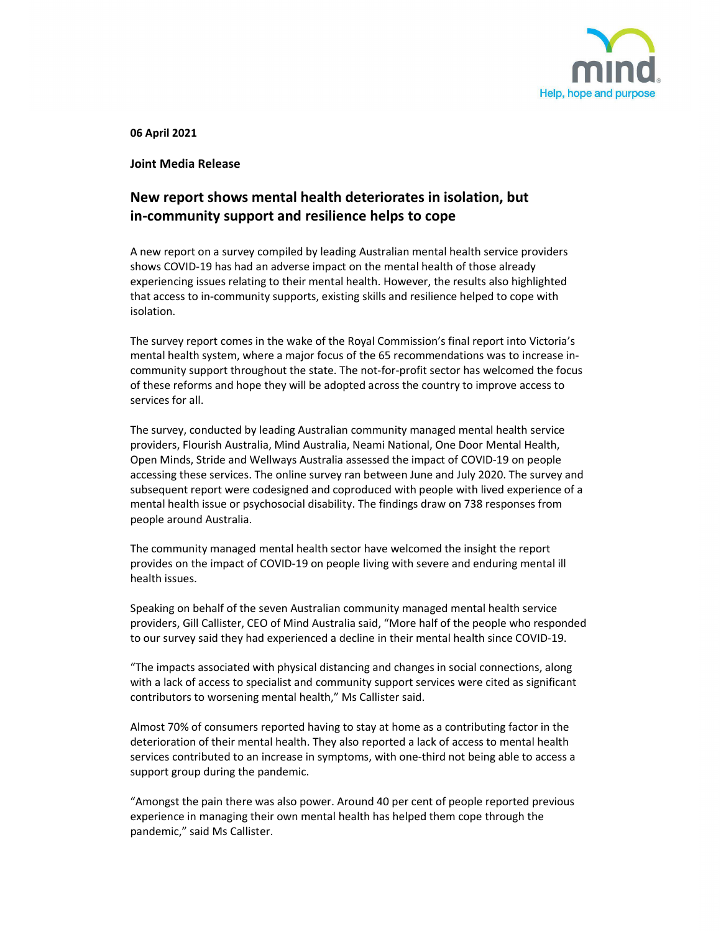

06 April 2021

Joint Media Release

## New report shows mental health deteriorates in isolation, but in-community support and resilience helps to cope

A new report on a survey compiled by leading Australian mental health service providers shows COVID-19 has had an adverse impact on the mental health of those already experiencing issues relating to their mental health. However, the results also highlighted that access to in-community supports, existing skills and resilience helped to cope with isolation.

The survey report comes in the wake of the Royal Commission's final report into Victoria's mental health system, where a major focus of the 65 recommendations was to increase incommunity support throughout the state. The not-for-profit sector has welcomed the focus of these reforms and hope they will be adopted across the country to improve access to services for all. 

The survey, conducted by leading Australian community managed mental health service providers, Flourish Australia, Mind Australia, Neami National, One Door Mental Health, Open Minds, Stride and Wellways Australia assessed the impact of COVID-19 on people accessing these services. The online survey ran between June and July 2020. The survey and subsequent report were codesigned and coproduced with people with lived experience of a mental health issue or psychosocial disability. The findings draw on 738 responses from people around Australia.

The community managed mental health sector have welcomed the insight the report provides on the impact of COVID-19 on people living with severe and enduring mental ill health issues.

Speaking on behalf of the seven Australian community managed mental health service providers, Gill Callister, CEO of Mind Australia said, "More half of the people who responded to our survey said they had experienced a decline in their mental health since COVID-19.

"The impacts associated with physical distancing and changes in social connections, along with a lack of access to specialist and community support services were cited as significant contributors to worsening mental health," Ms Callister said.

Almost 70% of consumers reported having to stay at home as a contributing factor in the deterioration of their mental health. They also reported a lack of access to mental health services contributed to an increase in symptoms, with one-third not being able to access a support group during the pandemic.

"Amongst the pain there was also power. Around 40 per cent of people reported previous experience in managing their own mental health has helped them cope through the pandemic," said Ms Callister.